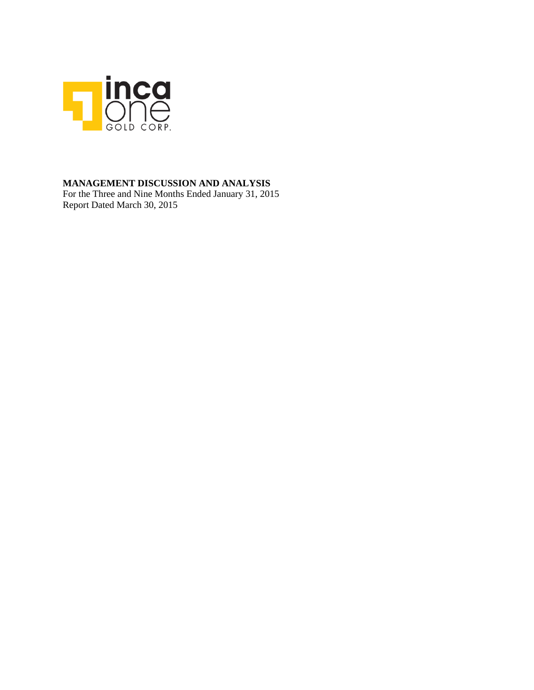

## **MANAGEMENT DISCUSSION AND ANALYSIS**

For the Three and Nine Months Ended January 31, 2015 Report Dated March 30, 2015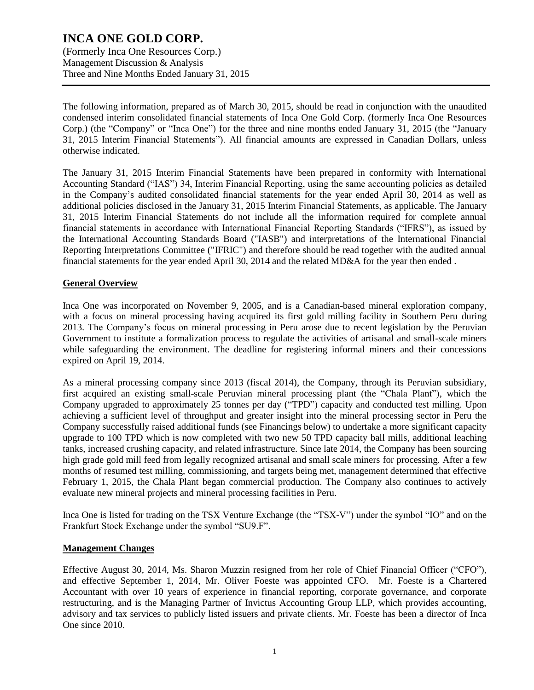(Formerly Inca One Resources Corp.) Management Discussion & Analysis Three and Nine Months Ended January 31, 2015

The following information, prepared as of March 30, 2015, should be read in conjunction with the unaudited condensed interim consolidated financial statements of Inca One Gold Corp. (formerly Inca One Resources Corp.) (the "Company" or "Inca One") for the three and nine months ended January 31, 2015 (the "January 31, 2015 Interim Financial Statements"). All financial amounts are expressed in Canadian Dollars, unless otherwise indicated.

The January 31, 2015 Interim Financial Statements have been prepared in conformity with International Accounting Standard ("IAS") 34, Interim Financial Reporting, using the same accounting policies as detailed in the Company's audited consolidated financial statements for the year ended April 30, 2014 as well as additional policies disclosed in the January 31, 2015 Interim Financial Statements, as applicable. The January 31, 2015 Interim Financial Statements do not include all the information required for complete annual financial statements in accordance with International Financial Reporting Standards ("IFRS"), as issued by the International Accounting Standards Board ("IASB") and interpretations of the International Financial Reporting Interpretations Committee ("IFRIC") and therefore should be read together with the audited annual financial statements for the year ended April 30, 2014 and the related MD&A for the year then ended .

### **General Overview**

Inca One was incorporated on November 9, 2005, and is a Canadian-based mineral exploration company, with a focus on mineral processing having acquired its first gold milling facility in Southern Peru during 2013. The Company's focus on mineral processing in Peru arose due to recent legislation by the Peruvian Government to institute a formalization process to regulate the activities of artisanal and small-scale miners while safeguarding the environment. The deadline for registering informal miners and their concessions expired on April 19, 2014.

As a mineral processing company since 2013 (fiscal 2014), the Company, through its Peruvian subsidiary, first acquired an existing small-scale Peruvian mineral processing plant (the "Chala Plant"), which the Company upgraded to approximately 25 tonnes per day ("TPD") capacity and conducted test milling. Upon achieving a sufficient level of throughput and greater insight into the mineral processing sector in Peru the Company successfully raised additional funds (see Financings below) to undertake a more significant capacity upgrade to 100 TPD which is now completed with two new 50 TPD capacity ball mills, additional leaching tanks, increased crushing capacity, and related infrastructure. Since late 2014, the Company has been sourcing high grade gold mill feed from legally recognized artisanal and small scale miners for processing. After a few months of resumed test milling, commissioning, and targets being met, management determined that effective February 1, 2015, the Chala Plant began commercial production. The Company also continues to actively evaluate new mineral projects and mineral processing facilities in Peru.

Inca One is listed for trading on the TSX Venture Exchange (the "TSX-V") under the symbol "IO" and on the Frankfurt Stock Exchange under the symbol "SU9.F".

#### **Management Changes**

Effective August 30, 2014, Ms. Sharon Muzzin resigned from her role of Chief Financial Officer ("CFO"), and effective September 1, 2014, Mr. Oliver Foeste was appointed CFO. Mr. Foeste is a Chartered Accountant with over 10 years of experience in financial reporting, corporate governance, and corporate restructuring, and is the Managing Partner of Invictus Accounting Group LLP, which provides accounting, advisory and tax services to publicly listed issuers and private clients. Mr. Foeste has been a director of Inca One since 2010.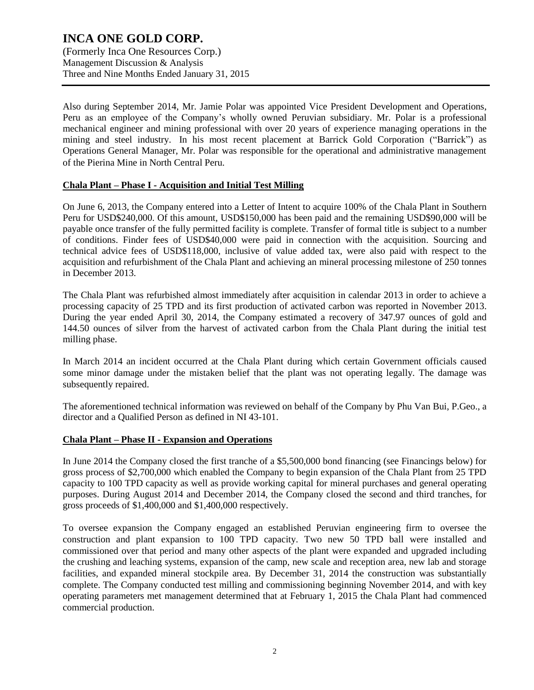Also during September 2014, Mr. Jamie Polar was appointed Vice President Development and Operations, Peru as an employee of the Company's wholly owned Peruvian subsidiary. Mr. Polar is a professional mechanical engineer and mining professional with over 20 years of experience managing operations in the mining and steel industry. In his most recent placement at Barrick Gold Corporation ("Barrick") as Operations General Manager, Mr. Polar was responsible for the operational and administrative management of the Pierina Mine in North Central Peru.

#### **Chala Plant – Phase I - Acquisition and Initial Test Milling**

On June 6, 2013, the Company entered into a Letter of Intent to acquire 100% of the Chala Plant in Southern Peru for USD\$240,000. Of this amount, USD\$150,000 has been paid and the remaining USD\$90,000 will be payable once transfer of the fully permitted facility is complete. Transfer of formal title is subject to a number of conditions. Finder fees of USD\$40,000 were paid in connection with the acquisition. Sourcing and technical advice fees of USD\$118,000, inclusive of value added tax, were also paid with respect to the acquisition and refurbishment of the Chala Plant and achieving an mineral processing milestone of 250 tonnes in December 2013.

The Chala Plant was refurbished almost immediately after acquisition in calendar 2013 in order to achieve a processing capacity of 25 TPD and its first production of activated carbon was reported in November 2013. During the year ended April 30, 2014, the Company estimated a recovery of 347.97 ounces of gold and 144.50 ounces of silver from the harvest of activated carbon from the Chala Plant during the initial test milling phase.

In March 2014 an incident occurred at the Chala Plant during which certain Government officials caused some minor damage under the mistaken belief that the plant was not operating legally. The damage was subsequently repaired.

The aforementioned technical information was reviewed on behalf of the Company by Phu Van Bui, P.Geo., a director and a Qualified Person as defined in NI 43-101.

#### **Chala Plant – Phase II - Expansion and Operations**

In June 2014 the Company closed the first tranche of a \$5,500,000 bond financing (see Financings below) for gross process of \$2,700,000 which enabled the Company to begin expansion of the Chala Plant from 25 TPD capacity to 100 TPD capacity as well as provide working capital for mineral purchases and general operating purposes. During August 2014 and December 2014, the Company closed the second and third tranches, for gross proceeds of \$1,400,000 and \$1,400,000 respectively.

To oversee expansion the Company engaged an established Peruvian engineering firm to oversee the construction and plant expansion to 100 TPD capacity. Two new 50 TPD ball were installed and commissioned over that period and many other aspects of the plant were expanded and upgraded including the crushing and leaching systems, expansion of the camp, new scale and reception area, new lab and storage facilities, and expanded mineral stockpile area. By December 31, 2014 the construction was substantially complete. The Company conducted test milling and commissioning beginning November 2014, and with key operating parameters met management determined that at February 1, 2015 the Chala Plant had commenced commercial production.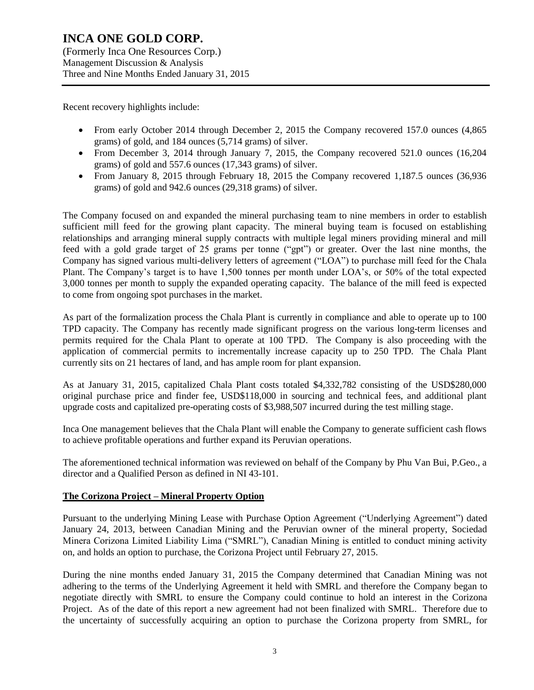Recent recovery highlights include:

- From early October 2014 through December 2, 2015 the Company recovered 157.0 ounces (4,865) grams) of gold, and 184 ounces (5,714 grams) of silver.
- From December 3, 2014 through January 7, 2015, the Company recovered 521.0 ounces (16,204 grams) of gold and 557.6 ounces (17,343 grams) of silver.
- From January 8, 2015 through February 18, 2015 the Company recovered 1,187.5 ounces (36,936 grams) of gold and 942.6 ounces (29,318 grams) of silver.

The Company focused on and expanded the mineral purchasing team to nine members in order to establish sufficient mill feed for the growing plant capacity. The mineral buying team is focused on establishing relationships and arranging mineral supply contracts with multiple legal miners providing mineral and mill feed with a gold grade target of 25 grams per tonne ("gpt") or greater. Over the last nine months, the Company has signed various multi-delivery letters of agreement ("LOA") to purchase mill feed for the Chala Plant. The Company's target is to have 1,500 tonnes per month under LOA's, or 50% of the total expected 3,000 tonnes per month to supply the expanded operating capacity. The balance of the mill feed is expected to come from ongoing spot purchases in the market.

As part of the formalization process the Chala Plant is currently in compliance and able to operate up to 100 TPD capacity. The Company has recently made significant progress on the various long-term licenses and permits required for the Chala Plant to operate at 100 TPD. The Company is also proceeding with the application of commercial permits to incrementally increase capacity up to 250 TPD. The Chala Plant currently sits on 21 hectares of land, and has ample room for plant expansion.

As at January 31, 2015, capitalized Chala Plant costs totaled \$4,332,782 consisting of the USD\$280,000 original purchase price and finder fee, USD\$118,000 in sourcing and technical fees, and additional plant upgrade costs and capitalized pre-operating costs of \$3,988,507 incurred during the test milling stage.

Inca One management believes that the Chala Plant will enable the Company to generate sufficient cash flows to achieve profitable operations and further expand its Peruvian operations.

The aforementioned technical information was reviewed on behalf of the Company by Phu Van Bui, P.Geo., a director and a Qualified Person as defined in NI 43-101.

#### **The Corizona Project – Mineral Property Option**

Pursuant to the underlying Mining Lease with Purchase Option Agreement ("Underlying Agreement") dated January 24, 2013, between Canadian Mining and the Peruvian owner of the mineral property, Sociedad Minera Corizona Limited Liability Lima ("SMRL"), Canadian Mining is entitled to conduct mining activity on, and holds an option to purchase, the Corizona Project until February 27, 2015.

During the nine months ended January 31, 2015 the Company determined that Canadian Mining was not adhering to the terms of the Underlying Agreement it held with SMRL and therefore the Company began to negotiate directly with SMRL to ensure the Company could continue to hold an interest in the Corizona Project. As of the date of this report a new agreement had not been finalized with SMRL. Therefore due to the uncertainty of successfully acquiring an option to purchase the Corizona property from SMRL, for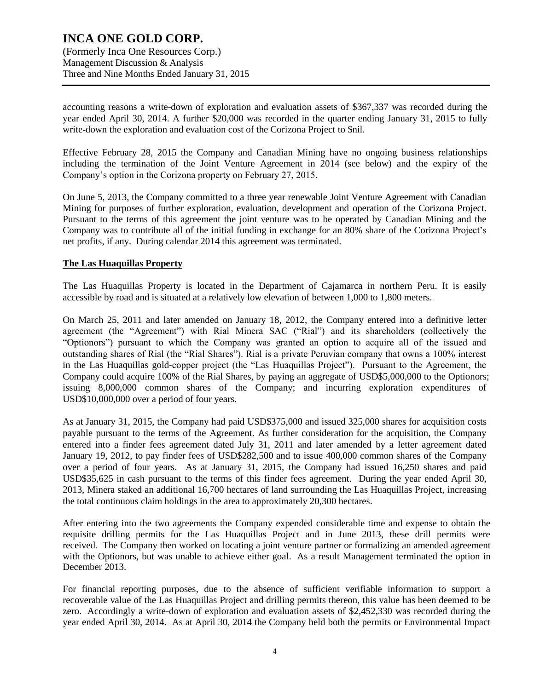accounting reasons a write-down of exploration and evaluation assets of \$367,337 was recorded during the year ended April 30, 2014. A further \$20,000 was recorded in the quarter ending January 31, 2015 to fully write-down the exploration and evaluation cost of the Corizona Project to \$nil.

Effective February 28, 2015 the Company and Canadian Mining have no ongoing business relationships including the termination of the Joint Venture Agreement in 2014 (see below) and the expiry of the Company's option in the Corizona property on February 27, 2015.

On June 5, 2013, the Company committed to a three year renewable Joint Venture Agreement with Canadian Mining for purposes of further exploration, evaluation, development and operation of the Corizona Project. Pursuant to the terms of this agreement the joint venture was to be operated by Canadian Mining and the Company was to contribute all of the initial funding in exchange for an 80% share of the Corizona Project's net profits, if any. During calendar 2014 this agreement was terminated.

#### **The Las Huaquillas Property**

The Las Huaquillas Property is located in the Department of Cajamarca in northern Peru. It is easily accessible by road and is situated at a relatively low elevation of between 1,000 to 1,800 meters.

On March 25, 2011 and later amended on January 18, 2012, the Company entered into a definitive letter agreement (the "Agreement") with Rial Minera SAC ("Rial") and its shareholders (collectively the "Optionors") pursuant to which the Company was granted an option to acquire all of the issued and outstanding shares of Rial (the "Rial Shares"). Rial is a private Peruvian company that owns a 100% interest in the Las Huaquillas gold-copper project (the "Las Huaquillas Project"). Pursuant to the Agreement, the Company could acquire 100% of the Rial Shares, by paying an aggregate of USD\$5,000,000 to the Optionors; issuing 8,000,000 common shares of the Company; and incurring exploration expenditures of USD\$10,000,000 over a period of four years.

As at January 31, 2015, the Company had paid USD\$375,000 and issued 325,000 shares for acquisition costs payable pursuant to the terms of the Agreement. As further consideration for the acquisition, the Company entered into a finder fees agreement dated July 31, 2011 and later amended by a letter agreement dated January 19, 2012, to pay finder fees of USD\$282,500 and to issue 400,000 common shares of the Company over a period of four years. As at January 31, 2015, the Company had issued 16,250 shares and paid USD\$35,625 in cash pursuant to the terms of this finder fees agreement. During the year ended April 30, 2013, Minera staked an additional 16,700 hectares of land surrounding the Las Huaquillas Project, increasing the total continuous claim holdings in the area to approximately 20,300 hectares.

After entering into the two agreements the Company expended considerable time and expense to obtain the requisite drilling permits for the Las Huaquillas Project and in June 2013, these drill permits were received. The Company then worked on locating a joint venture partner or formalizing an amended agreement with the Optionors, but was unable to achieve either goal. As a result Management terminated the option in December 2013.

For financial reporting purposes, due to the absence of sufficient verifiable information to support a recoverable value of the Las Huaquillas Project and drilling permits thereon, this value has been deemed to be zero. Accordingly a write-down of exploration and evaluation assets of \$2,452,330 was recorded during the year ended April 30, 2014. As at April 30, 2014 the Company held both the permits or Environmental Impact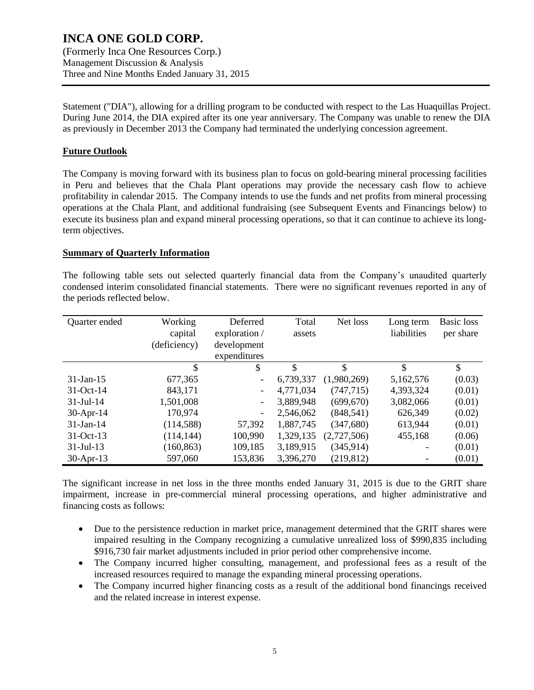(Formerly Inca One Resources Corp.) Management Discussion & Analysis Three and Nine Months Ended January 31, 2015

Statement ("DIA"), allowing for a drilling program to be conducted with respect to the Las Huaquillas Project. During June 2014, the DIA expired after its one year anniversary. The Company was unable to renew the DIA as previously in December 2013 the Company had terminated the underlying concession agreement.

#### **Future Outlook**

The Company is moving forward with its business plan to focus on gold-bearing mineral processing facilities in Peru and believes that the Chala Plant operations may provide the necessary cash flow to achieve profitability in calendar 2015. The Company intends to use the funds and net profits from mineral processing operations at the Chala Plant, and additional fundraising (see Subsequent Events and Financings below) to execute its business plan and expand mineral processing operations, so that it can continue to achieve its longterm objectives.

#### **Summary of Quarterly Information**

The following table sets out selected quarterly financial data from the Company's unaudited quarterly condensed interim consolidated financial statements. There were no significant revenues reported in any of the periods reflected below.

| Quarter ended | Working      | Deferred                 | Total     | Net loss    | Long term   | <b>Basic</b> loss |
|---------------|--------------|--------------------------|-----------|-------------|-------------|-------------------|
|               | capital      | exploration /            | assets    |             | liabilities | per share         |
|               | (deficiency) | development              |           |             |             |                   |
|               |              | expenditures             |           |             |             |                   |
|               | \$           | \$                       | \$        | \$          | \$          | \$                |
| $31-Jan-15$   | 677,365      | $\overline{\phantom{a}}$ | 6,739,337 | (1,980,269) | 5,162,576   | (0.03)            |
| $31-Oct-14$   | 843,171      | $\overline{\phantom{a}}$ | 4,771,034 | (747, 715)  | 4,393,324   | (0.01)            |
| $31-Jul-14$   | 1,501,008    | $\overline{\phantom{a}}$ | 3,889,948 | (699, 670)  | 3,082,066   | (0.01)            |
| $30-Apr-14$   | 170,974      | $\overline{\phantom{0}}$ | 2,546,062 | (848, 541)  | 626,349     | (0.02)            |
| $31$ -Jan-14  | (114, 588)   | 57,392                   | 1,887,745 | (347,680)   | 613,944     | (0.01)            |
| 31-Oct-13     | (114, 144)   | 100,990                  | 1,329,135 | (2,727,506) | 455,168     | (0.06)            |
| $31$ -Jul-13  | (160, 863)   | 109,185                  | 3,189,915 | (345, 914)  |             | (0.01)            |
| $30-Apr-13$   | 597,060      | 153,836                  | 3,396,270 | (219, 812)  |             | (0.01)            |

The significant increase in net loss in the three months ended January 31, 2015 is due to the GRIT share impairment, increase in pre-commercial mineral processing operations, and higher administrative and financing costs as follows:

- Due to the persistence reduction in market price, management determined that the GRIT shares were impaired resulting in the Company recognizing a cumulative unrealized loss of \$990,835 including \$916,730 fair market adjustments included in prior period other comprehensive income.
- The Company incurred higher consulting, management, and professional fees as a result of the increased resources required to manage the expanding mineral processing operations.
- The Company incurred higher financing costs as a result of the additional bond financings received and the related increase in interest expense.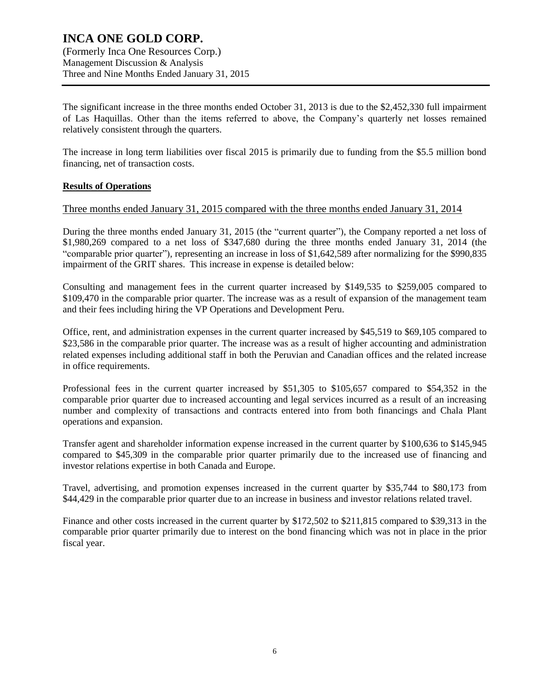## **INCA ONE GOLD CORP.** (Formerly Inca One Resources Corp.) Management Discussion & Analysis

Three and Nine Months Ended January 31, 2015

The significant increase in the three months ended October 31, 2013 is due to the \$2,452,330 full impairment of Las Haquillas. Other than the items referred to above, the Company's quarterly net losses remained relatively consistent through the quarters.

The increase in long term liabilities over fiscal 2015 is primarily due to funding from the \$5.5 million bond financing, net of transaction costs.

### **Results of Operations**

### Three months ended January 31, 2015 compared with the three months ended January 31, 2014

During the three months ended January 31, 2015 (the "current quarter"), the Company reported a net loss of \$1,980,269 compared to a net loss of \$347,680 during the three months ended January 31, 2014 (the "comparable prior quarter"), representing an increase in loss of \$1,642,589 after normalizing for the \$990,835 impairment of the GRIT shares. This increase in expense is detailed below:

Consulting and management fees in the current quarter increased by \$149,535 to \$259,005 compared to \$109,470 in the comparable prior quarter. The increase was as a result of expansion of the management team and their fees including hiring the VP Operations and Development Peru.

Office, rent, and administration expenses in the current quarter increased by \$45,519 to \$69,105 compared to \$23,586 in the comparable prior quarter. The increase was as a result of higher accounting and administration related expenses including additional staff in both the Peruvian and Canadian offices and the related increase in office requirements.

Professional fees in the current quarter increased by \$51,305 to \$105,657 compared to \$54,352 in the comparable prior quarter due to increased accounting and legal services incurred as a result of an increasing number and complexity of transactions and contracts entered into from both financings and Chala Plant operations and expansion.

Transfer agent and shareholder information expense increased in the current quarter by \$100,636 to \$145,945 compared to \$45,309 in the comparable prior quarter primarily due to the increased use of financing and investor relations expertise in both Canada and Europe.

Travel, advertising, and promotion expenses increased in the current quarter by \$35,744 to \$80,173 from \$44,429 in the comparable prior quarter due to an increase in business and investor relations related travel.

Finance and other costs increased in the current quarter by \$172,502 to \$211,815 compared to \$39,313 in the comparable prior quarter primarily due to interest on the bond financing which was not in place in the prior fiscal year.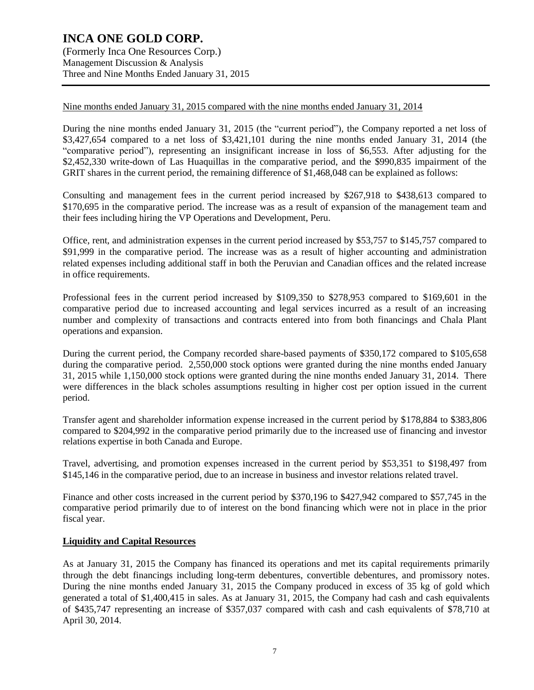Nine months ended January 31, 2015 compared with the nine months ended January 31, 2014

During the nine months ended January 31, 2015 (the "current period"), the Company reported a net loss of \$3,427,654 compared to a net loss of \$3,421,101 during the nine months ended January 31, 2014 (the "comparative period"), representing an insignificant increase in loss of \$6,553. After adjusting for the \$2,452,330 write-down of Las Huaquillas in the comparative period, and the \$990,835 impairment of the GRIT shares in the current period, the remaining difference of \$1,468,048 can be explained as follows:

Consulting and management fees in the current period increased by \$267,918 to \$438,613 compared to \$170,695 in the comparative period. The increase was as a result of expansion of the management team and their fees including hiring the VP Operations and Development, Peru.

Office, rent, and administration expenses in the current period increased by \$53,757 to \$145,757 compared to \$91,999 in the comparative period. The increase was as a result of higher accounting and administration related expenses including additional staff in both the Peruvian and Canadian offices and the related increase in office requirements.

Professional fees in the current period increased by \$109,350 to \$278,953 compared to \$169,601 in the comparative period due to increased accounting and legal services incurred as a result of an increasing number and complexity of transactions and contracts entered into from both financings and Chala Plant operations and expansion.

During the current period, the Company recorded share-based payments of \$350,172 compared to \$105,658 during the comparative period. 2,550,000 stock options were granted during the nine months ended January 31, 2015 while 1,150,000 stock options were granted during the nine months ended January 31, 2014. There were differences in the black scholes assumptions resulting in higher cost per option issued in the current period.

Transfer agent and shareholder information expense increased in the current period by \$178,884 to \$383,806 compared to \$204,992 in the comparative period primarily due to the increased use of financing and investor relations expertise in both Canada and Europe.

Travel, advertising, and promotion expenses increased in the current period by \$53,351 to \$198,497 from \$145,146 in the comparative period, due to an increase in business and investor relations related travel.

Finance and other costs increased in the current period by \$370,196 to \$427,942 compared to \$57,745 in the comparative period primarily due to of interest on the bond financing which were not in place in the prior fiscal year.

#### **Liquidity and Capital Resources**

As at January 31, 2015 the Company has financed its operations and met its capital requirements primarily through the debt financings including long-term debentures, convertible debentures, and promissory notes. During the nine months ended January 31, 2015 the Company produced in excess of 35 kg of gold which generated a total of \$1,400,415 in sales. As at January 31, 2015, the Company had cash and cash equivalents of \$435,747 representing an increase of \$357,037 compared with cash and cash equivalents of \$78,710 at April 30, 2014.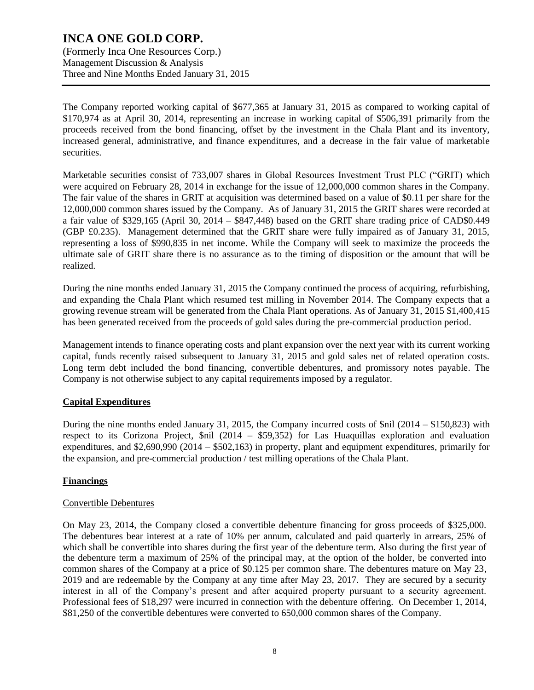(Formerly Inca One Resources Corp.) Management Discussion & Analysis Three and Nine Months Ended January 31, 2015

The Company reported working capital of \$677,365 at January 31, 2015 as compared to working capital of \$170,974 as at April 30, 2014, representing an increase in working capital of \$506,391 primarily from the proceeds received from the bond financing, offset by the investment in the Chala Plant and its inventory, increased general, administrative, and finance expenditures, and a decrease in the fair value of marketable securities.

Marketable securities consist of 733,007 shares in Global Resources Investment Trust PLC ("GRIT) which were acquired on February 28, 2014 in exchange for the issue of 12,000,000 common shares in the Company. The fair value of the shares in GRIT at acquisition was determined based on a value of \$0.11 per share for the 12,000,000 common shares issued by the Company. As of January 31, 2015 the GRIT shares were recorded at a fair value of \$329,165 (April 30, 2014 – \$847,448) based on the GRIT share trading price of CAD\$0.449 (GBP £0.235). Management determined that the GRIT share were fully impaired as of January 31, 2015, representing a loss of \$990,835 in net income. While the Company will seek to maximize the proceeds the ultimate sale of GRIT share there is no assurance as to the timing of disposition or the amount that will be realized.

During the nine months ended January 31, 2015 the Company continued the process of acquiring, refurbishing, and expanding the Chala Plant which resumed test milling in November 2014. The Company expects that a growing revenue stream will be generated from the Chala Plant operations. As of January 31, 2015 \$1,400,415 has been generated received from the proceeds of gold sales during the pre-commercial production period.

Management intends to finance operating costs and plant expansion over the next year with its current working capital, funds recently raised subsequent to January 31, 2015 and gold sales net of related operation costs. Long term debt included the bond financing, convertible debentures, and promissory notes payable. The Company is not otherwise subject to any capital requirements imposed by a regulator.

#### **Capital Expenditures**

During the nine months ended January 31, 2015, the Company incurred costs of \$nil (2014 – \$150,823) with respect to its Corizona Project, \$nil (2014 – \$59,352) for Las Huaquillas exploration and evaluation expenditures, and \$2,690,990 (2014 – \$502,163) in property, plant and equipment expenditures, primarily for the expansion, and pre-commercial production / test milling operations of the Chala Plant.

#### **Financings**

#### Convertible Debentures

On May 23, 2014, the Company closed a convertible debenture financing for gross proceeds of \$325,000. The debentures bear interest at a rate of 10% per annum, calculated and paid quarterly in arrears, 25% of which shall be convertible into shares during the first year of the debenture term. Also during the first year of the debenture term a maximum of 25% of the principal may, at the option of the holder, be converted into common shares of the Company at a price of \$0.125 per common share. The debentures mature on May 23, 2019 and are redeemable by the Company at any time after May 23, 2017. They are secured by a security interest in all of the Company's present and after acquired property pursuant to a security agreement. Professional fees of \$18,297 were incurred in connection with the debenture offering. On December 1, 2014, \$81,250 of the convertible debentures were converted to 650,000 common shares of the Company.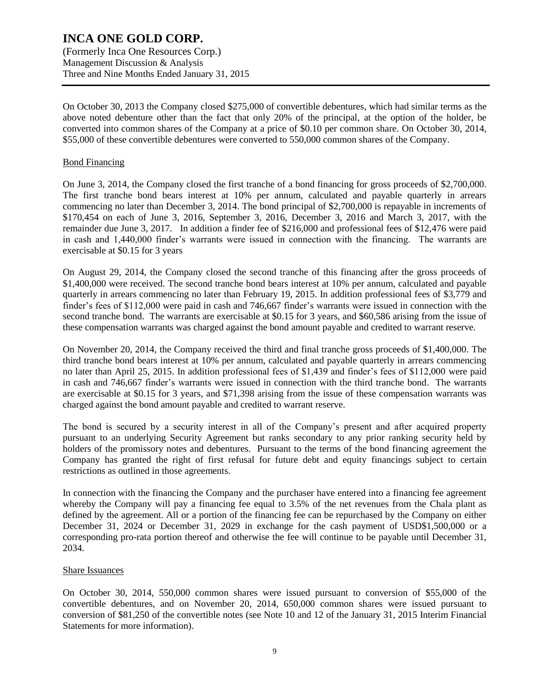(Formerly Inca One Resources Corp.) Management Discussion & Analysis Three and Nine Months Ended January 31, 2015

On October 30, 2013 the Company closed \$275,000 of convertible debentures, which had similar terms as the above noted debenture other than the fact that only 20% of the principal, at the option of the holder, be converted into common shares of the Company at a price of \$0.10 per common share. On October 30, 2014, \$55,000 of these convertible debentures were converted to 550,000 common shares of the Company.

#### Bond Financing

On June 3, 2014, the Company closed the first tranche of a bond financing for gross proceeds of \$2,700,000. The first tranche bond bears interest at 10% per annum, calculated and payable quarterly in arrears commencing no later than December 3, 2014. The bond principal of \$2,700,000 is repayable in increments of \$170,454 on each of June 3, 2016, September 3, 2016, December 3, 2016 and March 3, 2017, with the remainder due June 3, 2017. In addition a finder fee of \$216,000 and professional fees of \$12,476 were paid in cash and 1,440,000 finder's warrants were issued in connection with the financing. The warrants are exercisable at \$0.15 for 3 years

On August 29, 2014, the Company closed the second tranche of this financing after the gross proceeds of \$1,400,000 were received. The second tranche bond bears interest at 10% per annum, calculated and payable quarterly in arrears commencing no later than February 19, 2015. In addition professional fees of \$3,779 and finder's fees of \$112,000 were paid in cash and 746,667 finder's warrants were issued in connection with the second tranche bond. The warrants are exercisable at \$0.15 for 3 years, and \$60,586 arising from the issue of these compensation warrants was charged against the bond amount payable and credited to warrant reserve.

On November 20, 2014, the Company received the third and final tranche gross proceeds of \$1,400,000. The third tranche bond bears interest at 10% per annum, calculated and payable quarterly in arrears commencing no later than April 25, 2015. In addition professional fees of \$1,439 and finder's fees of \$112,000 were paid in cash and 746,667 finder's warrants were issued in connection with the third tranche bond. The warrants are exercisable at \$0.15 for 3 years, and \$71,398 arising from the issue of these compensation warrants was charged against the bond amount payable and credited to warrant reserve.

The bond is secured by a security interest in all of the Company's present and after acquired property pursuant to an underlying Security Agreement but ranks secondary to any prior ranking security held by holders of the promissory notes and debentures. Pursuant to the terms of the bond financing agreement the Company has granted the right of first refusal for future debt and equity financings subject to certain restrictions as outlined in those agreements.

In connection with the financing the Company and the purchaser have entered into a financing fee agreement whereby the Company will pay a financing fee equal to 3.5% of the net revenues from the Chala plant as defined by the agreement. All or a portion of the financing fee can be repurchased by the Company on either December 31, 2024 or December 31, 2029 in exchange for the cash payment of USD\$1,500,000 or a corresponding pro-rata portion thereof and otherwise the fee will continue to be payable until December 31, 2034.

#### Share Issuances

On October 30, 2014, 550,000 common shares were issued pursuant to conversion of \$55,000 of the convertible debentures, and on November 20, 2014, 650,000 common shares were issued pursuant to conversion of \$81,250 of the convertible notes (see Note 10 and 12 of the January 31, 2015 Interim Financial Statements for more information).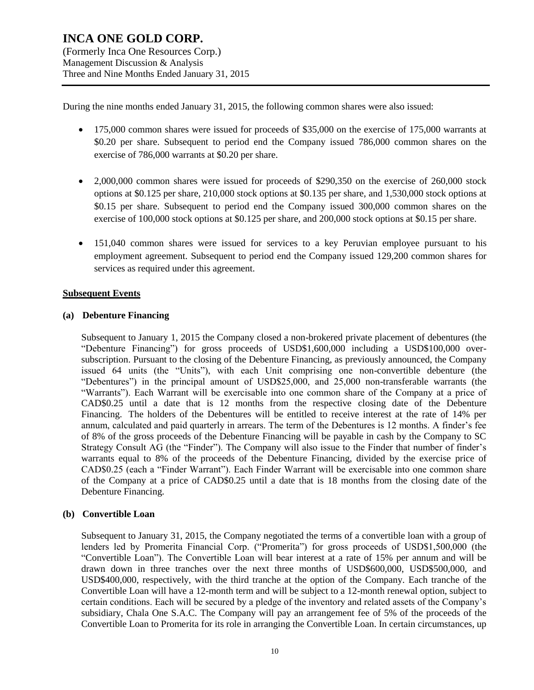During the nine months ended January 31, 2015, the following common shares were also issued:

- 175,000 common shares were issued for proceeds of \$35,000 on the exercise of 175,000 warrants at \$0.20 per share. Subsequent to period end the Company issued 786,000 common shares on the exercise of 786,000 warrants at \$0.20 per share.
- 2,000,000 common shares were issued for proceeds of \$290,350 on the exercise of 260,000 stock options at \$0.125 per share, 210,000 stock options at \$0.135 per share, and 1,530,000 stock options at \$0.15 per share. Subsequent to period end the Company issued 300,000 common shares on the exercise of 100,000 stock options at \$0.125 per share, and 200,000 stock options at \$0.15 per share.
- 151,040 common shares were issued for services to a key Peruvian employee pursuant to his employment agreement. Subsequent to period end the Company issued 129,200 common shares for services as required under this agreement.

#### **Subsequent Events**

#### **(a) Debenture Financing**

Subsequent to January 1, 2015 the Company closed a non-brokered private placement of debentures (the "Debenture Financing") for gross proceeds of USD\$1,600,000 including a USD\$100,000 oversubscription. Pursuant to the closing of the Debenture Financing, as previously announced, the Company issued 64 units (the "Units"), with each Unit comprising one non-convertible debenture (the "Debentures") in the principal amount of USD\$25,000, and 25,000 non-transferable warrants (the "Warrants"). Each Warrant will be exercisable into one common share of the Company at a price of CAD\$0.25 until a date that is 12 months from the respective closing date of the Debenture Financing. The holders of the Debentures will be entitled to receive interest at the rate of 14% per annum, calculated and paid quarterly in arrears. The term of the Debentures is 12 months. A finder's fee of 8% of the gross proceeds of the Debenture Financing will be payable in cash by the Company to SC Strategy Consult AG (the "Finder"). The Company will also issue to the Finder that number of finder's warrants equal to 8% of the proceeds of the Debenture Financing, divided by the exercise price of CAD\$0.25 (each a "Finder Warrant"). Each Finder Warrant will be exercisable into one common share of the Company at a price of CAD\$0.25 until a date that is 18 months from the closing date of the Debenture Financing.

#### **(b) Convertible Loan**

Subsequent to January 31, 2015, the Company negotiated the terms of a convertible loan with a group of lenders led by Promerita Financial Corp. ("Promerita") for gross proceeds of USD\$1,500,000 (the "Convertible Loan"). The Convertible Loan will bear interest at a rate of 15% per annum and will be drawn down in three tranches over the next three months of USD\$600,000, USD\$500,000, and USD\$400,000, respectively, with the third tranche at the option of the Company. Each tranche of the Convertible Loan will have a 12-month term and will be subject to a 12-month renewal option, subject to certain conditions. Each will be secured by a pledge of the inventory and related assets of the Company's subsidiary, Chala One S.A.C. The Company will pay an arrangement fee of 5% of the proceeds of the Convertible Loan to Promerita for its role in arranging the Convertible Loan. In certain circumstances, up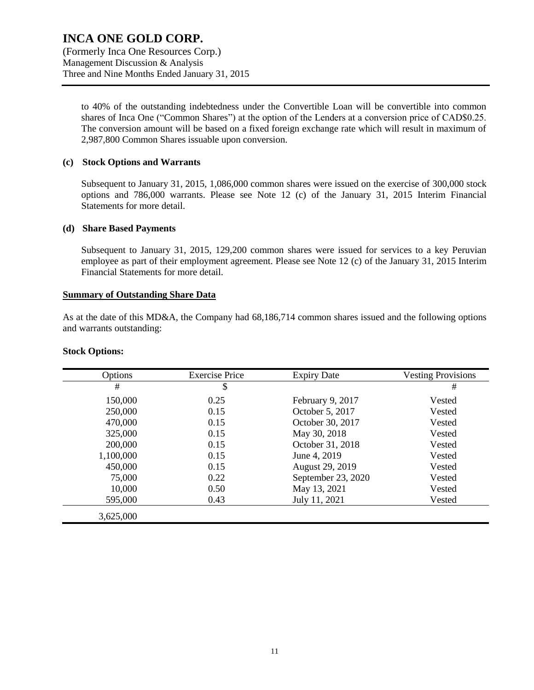(Formerly Inca One Resources Corp.) Management Discussion & Analysis Three and Nine Months Ended January 31, 2015

to 40% of the outstanding indebtedness under the Convertible Loan will be convertible into common shares of Inca One ("Common Shares") at the option of the Lenders at a conversion price of CAD\$0.25. The conversion amount will be based on a fixed foreign exchange rate which will result in maximum of 2,987,800 Common Shares issuable upon conversion.

#### **(c) Stock Options and Warrants**

Subsequent to January 31, 2015, 1,086,000 common shares were issued on the exercise of 300,000 stock options and 786,000 warrants. Please see Note 12 (c) of the January 31, 2015 Interim Financial Statements for more detail.

#### **(d) Share Based Payments**

Subsequent to January 31, 2015, 129,200 common shares were issued for services to a key Peruvian employee as part of their employment agreement. Please see Note 12 (c) of the January 31, 2015 Interim Financial Statements for more detail.

#### **Summary of Outstanding Share Data**

As at the date of this MD&A, the Company had 68,186,714 common shares issued and the following options and warrants outstanding:

#### **Stock Options:**

| Options   | <b>Exercise Price</b> | <b>Expiry Date</b> | <b>Vesting Provisions</b> |
|-----------|-----------------------|--------------------|---------------------------|
| #         | \$                    |                    | #                         |
| 150,000   | 0.25                  | February 9, 2017   | Vested                    |
| 250,000   | 0.15                  | October 5, 2017    | Vested                    |
| 470,000   | 0.15                  | October 30, 2017   | Vested                    |
| 325,000   | 0.15                  | May 30, 2018       | Vested                    |
| 200,000   | 0.15                  | October 31, 2018   | Vested                    |
| 1,100,000 | 0.15                  | June 4, 2019       | Vested                    |
| 450,000   | 0.15                  | August 29, 2019    | Vested                    |
| 75,000    | 0.22                  | September 23, 2020 | Vested                    |
| 10,000    | 0.50                  | May 13, 2021       | Vested                    |
| 595,000   | 0.43                  | July 11, 2021      | Vested                    |
| 3,625,000 |                       |                    |                           |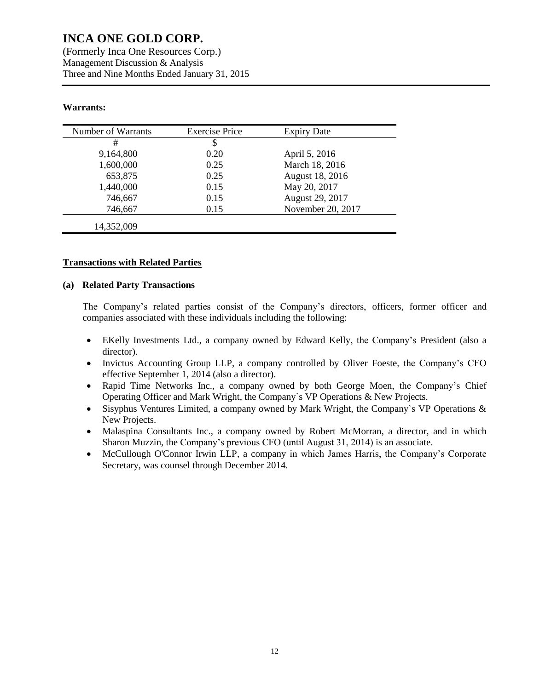(Formerly Inca One Resources Corp.) Management Discussion & Analysis Three and Nine Months Ended January 31, 2015

### **Warrants:**

| Number of Warrants | <b>Exercise Price</b> | <b>Expiry Date</b> |
|--------------------|-----------------------|--------------------|
| #                  | \$                    |                    |
| 9,164,800          | 0.20                  | April 5, 2016      |
| 1,600,000          | 0.25                  | March 18, 2016     |
| 653,875            | 0.25                  | August 18, 2016    |
| 1,440,000          | 0.15                  | May 20, 2017       |
| 746,667            | 0.15                  | August 29, 2017    |
| 746,667            | 0.15                  | November 20, 2017  |
| 14,352,009         |                       |                    |

#### **Transactions with Related Parties**

#### **(a) Related Party Transactions**

The Company's related parties consist of the Company's directors, officers, former officer and companies associated with these individuals including the following:

- EKelly Investments Ltd., a company owned by Edward Kelly, the Company's President (also a director).
- Invictus Accounting Group LLP, a company controlled by Oliver Foeste, the Company's CFO effective September 1, 2014 (also a director).
- Rapid Time Networks Inc., a company owned by both George Moen, the Company's Chief Operating Officer and Mark Wright, the Company`s VP Operations & New Projects.
- Sisyphus Ventures Limited, a company owned by Mark Wright, the Company's VP Operations  $\&$ New Projects.
- Malaspina Consultants Inc., a company owned by Robert McMorran, a director, and in which Sharon Muzzin, the Company's previous CFO (until August 31, 2014) is an associate.
- McCullough O'Connor Irwin LLP, a company in which James Harris, the Company's Corporate Secretary, was counsel through December 2014.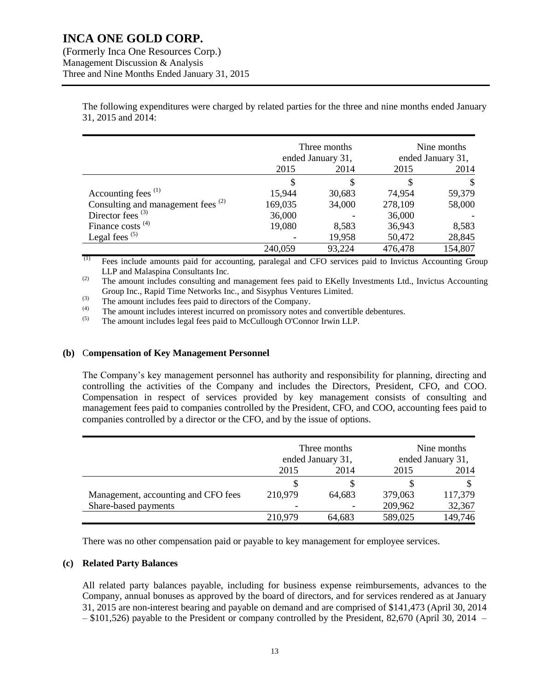(Formerly Inca One Resources Corp.) Management Discussion & Analysis Three and Nine Months Ended January 31, 2015

> The following expenditures were charged by related parties for the three and nine months ended January 31, 2015 and 2014:

|                                               | Three months<br>ended January 31, |        | Nine months<br>ended January 31, |         |
|-----------------------------------------------|-----------------------------------|--------|----------------------------------|---------|
|                                               | 2014<br>2015                      |        | 2015<br>2014                     |         |
|                                               | S.                                | S      |                                  |         |
| Accounting fees <sup>(1)</sup>                | 15,944                            | 30,683 | 74,954                           | 59,379  |
| Consulting and management fees <sup>(2)</sup> | 169,035                           | 34,000 | 278,109                          | 58,000  |
| Director fees $(3)$                           | 36,000                            |        | 36,000                           |         |
| Finance costs $(4)$                           | 19,080                            | 8,583  | 36,943                           | 8,583   |
| Legal fees $(5)$                              |                                   | 19,958 | 50,472                           | 28,845  |
|                                               | 240,059                           | 93,224 | 476,478                          | 154,807 |

(1) Fees include amounts paid for accounting, paralegal and CFO services paid to Invictus Accounting Group LLP and Malaspina Consultants Inc.

<sup>(2)</sup> The amount includes consulting and management fees paid to EKelly Investments Ltd., Invictus Accounting Group Inc., Rapid Time Networks Inc., and Sisyphus Ventures Limited.

(3) The amount includes fees paid to directors of the Company.<br>  $\begin{pmatrix} 4 \end{pmatrix}$  The amount includes interact incurred on promises we note.

(4) The amount includes interest incurred on promissory notes and convertible debentures.<br>The amount includes local foes paid to McCullough O'Connor Iruin I I B

The amount includes legal fees paid to McCullough O'Connor Irwin LLP.

#### **(b)** C**ompensation of Key Management Personnel**

The Company's key management personnel has authority and responsibility for planning, directing and controlling the activities of the Company and includes the Directors, President, CFO, and COO. Compensation in respect of services provided by key management consists of consulting and management fees paid to companies controlled by the President, CFO, and COO, accounting fees paid to companies controlled by a director or the CFO, and by the issue of options.

|                                     | Three months<br>ended January 31, |        | Nine months<br>ended January 31, |         |
|-------------------------------------|-----------------------------------|--------|----------------------------------|---------|
|                                     | 2015                              | 2014   | 2015                             | 2014    |
|                                     | S                                 |        |                                  |         |
| Management, accounting and CFO fees | 210,979                           | 64,683 | 379,063                          | 117,379 |
| Share-based payments                |                                   |        | 209,962                          | 32,367  |
|                                     | 210,979                           | 64,683 | 589,025                          | 149,746 |

There was no other compensation paid or payable to key management for employee services.

#### **(c) Related Party Balances**

All related party balances payable, including for business expense reimbursements, advances to the Company, annual bonuses as approved by the board of directors, and for services rendered as at January 31, 2015 are non-interest bearing and payable on demand and are comprised of \$141,473 (April 30, 2014 – \$101,526) payable to the President or company controlled by the President, 82,670 (April 30, 2014 –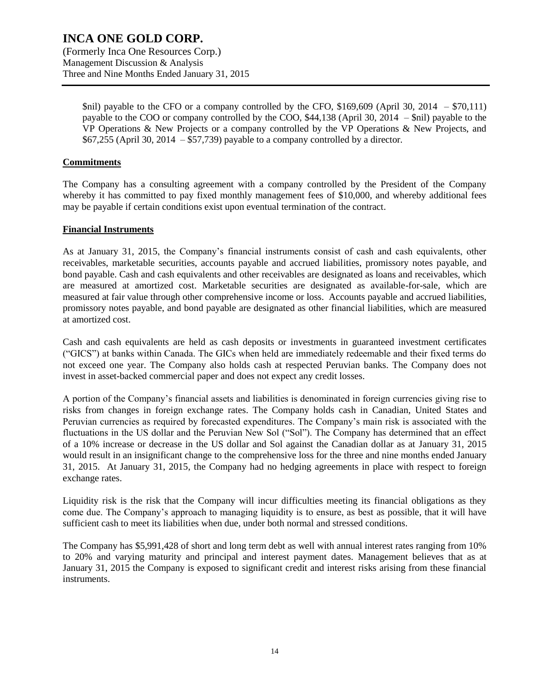\$nil) payable to the CFO or a company controlled by the CFO, \$169,609 (April 30, 2014 – \$70,111) payable to the COO or company controlled by the COO, \$44,138 (April 30, 2014 – \$nil) payable to the VP Operations & New Projects or a company controlled by the VP Operations & New Projects, and \$67,255 (April 30, 2014 – \$57,739) payable to a company controlled by a director.

#### **Commitments**

The Company has a consulting agreement with a company controlled by the President of the Company whereby it has committed to pay fixed monthly management fees of \$10,000, and whereby additional fees may be payable if certain conditions exist upon eventual termination of the contract.

#### **Financial Instruments**

As at January 31, 2015, the Company's financial instruments consist of cash and cash equivalents, other receivables, marketable securities, accounts payable and accrued liabilities, promissory notes payable, and bond payable. Cash and cash equivalents and other receivables are designated as loans and receivables, which are measured at amortized cost. Marketable securities are designated as available-for-sale, which are measured at fair value through other comprehensive income or loss. Accounts payable and accrued liabilities, promissory notes payable, and bond payable are designated as other financial liabilities, which are measured at amortized cost.

Cash and cash equivalents are held as cash deposits or investments in guaranteed investment certificates ("GICS") at banks within Canada. The GICs when held are immediately redeemable and their fixed terms do not exceed one year. The Company also holds cash at respected Peruvian banks. The Company does not invest in asset-backed commercial paper and does not expect any credit losses.

A portion of the Company's financial assets and liabilities is denominated in foreign currencies giving rise to risks from changes in foreign exchange rates. The Company holds cash in Canadian, United States and Peruvian currencies as required by forecasted expenditures. The Company's main risk is associated with the fluctuations in the US dollar and the Peruvian New Sol ("Sol"). The Company has determined that an effect of a 10% increase or decrease in the US dollar and Sol against the Canadian dollar as at January 31, 2015 would result in an insignificant change to the comprehensive loss for the three and nine months ended January 31, 2015. At January 31, 2015, the Company had no hedging agreements in place with respect to foreign exchange rates.

Liquidity risk is the risk that the Company will incur difficulties meeting its financial obligations as they come due. The Company's approach to managing liquidity is to ensure, as best as possible, that it will have sufficient cash to meet its liabilities when due, under both normal and stressed conditions.

The Company has \$5,991,428 of short and long term debt as well with annual interest rates ranging from 10% to 20% and varying maturity and principal and interest payment dates. Management believes that as at January 31, 2015 the Company is exposed to significant credit and interest risks arising from these financial instruments.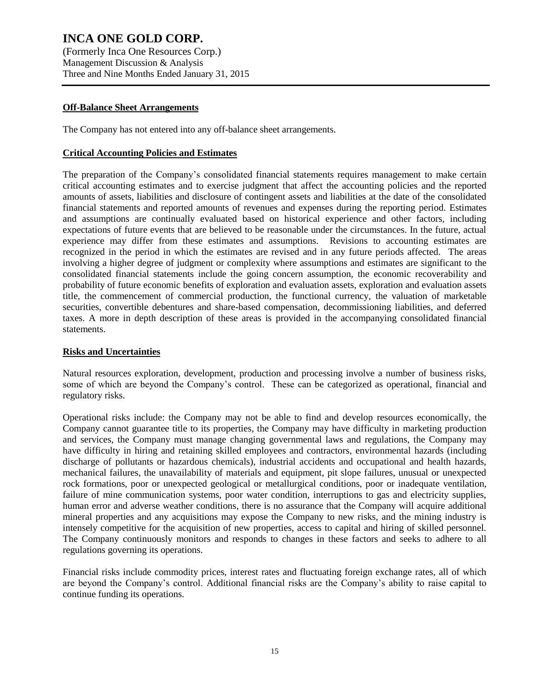(Formerly Inca One Resources Corp.) Management Discussion & Analysis Three and Nine Months Ended January 31, 2015

#### **Off-Balance Sheet Arrangements**

The Company has not entered into any off-balance sheet arrangements.

### **Critical Accounting Policies and Estimates**

The preparation of the Company's consolidated financial statements requires management to make certain critical accounting estimates and to exercise judgment that affect the accounting policies and the reported amounts of assets, liabilities and disclosure of contingent assets and liabilities at the date of the consolidated financial statements and reported amounts of revenues and expenses during the reporting period. Estimates and assumptions are continually evaluated based on historical experience and other factors, including expectations of future events that are believed to be reasonable under the circumstances. In the future, actual experience may differ from these estimates and assumptions. Revisions to accounting estimates are recognized in the period in which the estimates are revised and in any future periods affected. The areas involving a higher degree of judgment or complexity where assumptions and estimates are significant to the consolidated financial statements include the going concern assumption, the economic recoverability and probability of future economic benefits of exploration and evaluation assets, exploration and evaluation assets title, the commencement of commercial production, the functional currency, the valuation of marketable securities, convertible debentures and share-based compensation, decommissioning liabilities, and deferred taxes. A more in depth description of these areas is provided in the accompanying consolidated financial statements.

## **Risks and Uncertainties**

Natural resources exploration, development, production and processing involve a number of business risks, some of which are beyond the Company's control. These can be categorized as operational, financial and regulatory risks.

Operational risks include: the Company may not be able to find and develop resources economically, the Company cannot guarantee title to its properties, the Company may have difficulty in marketing production and services, the Company must manage changing governmental laws and regulations, the Company may have difficulty in hiring and retaining skilled employees and contractors, environmental hazards (including discharge of pollutants or hazardous chemicals), industrial accidents and occupational and health hazards, mechanical failures, the unavailability of materials and equipment, pit slope failures, unusual or unexpected rock formations, poor or unexpected geological or metallurgical conditions, poor or inadequate ventilation, failure of mine communication systems, poor water condition, interruptions to gas and electricity supplies, human error and adverse weather conditions, there is no assurance that the Company will acquire additional mineral properties and any acquisitions may expose the Company to new risks, and the mining industry is intensely competitive for the acquisition of new properties, access to capital and hiring of skilled personnel. The Company continuously monitors and responds to changes in these factors and seeks to adhere to all regulations governing its operations.

Financial risks include commodity prices, interest rates and fluctuating foreign exchange rates, all of which are beyond the Company's control. Additional financial risks are the Company's ability to raise capital to continue funding its operations.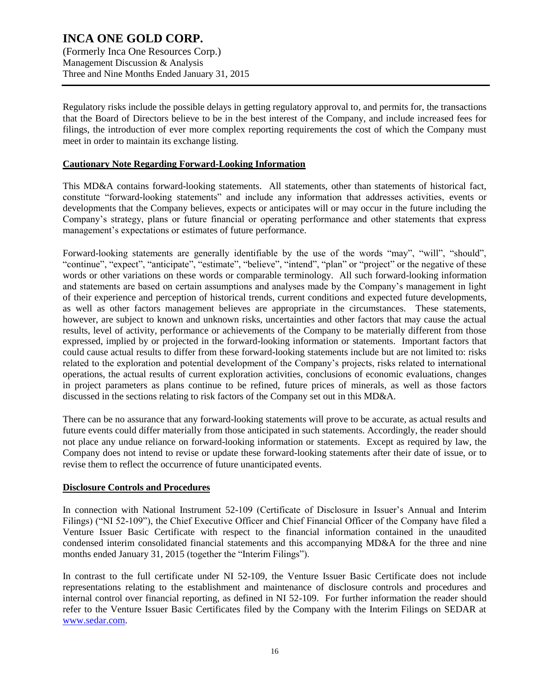**INCA ONE GOLD CORP.** (Formerly Inca One Resources Corp.) Management Discussion & Analysis Three and Nine Months Ended January 31, 2015

Regulatory risks include the possible delays in getting regulatory approval to, and permits for, the transactions that the Board of Directors believe to be in the best interest of the Company, and include increased fees for filings, the introduction of ever more complex reporting requirements the cost of which the Company must meet in order to maintain its exchange listing.

#### **Cautionary Note Regarding Forward-Looking Information**

This MD&A contains forward-looking statements. All statements, other than statements of historical fact, constitute "forward-looking statements" and include any information that addresses activities, events or developments that the Company believes, expects or anticipates will or may occur in the future including the Company's strategy, plans or future financial or operating performance and other statements that express management's expectations or estimates of future performance.

Forward-looking statements are generally identifiable by the use of the words "may", "will", "should", "continue", "expect", "anticipate", "estimate", "believe", "intend", "plan" or "project" or the negative of these words or other variations on these words or comparable terminology. All such forward-looking information and statements are based on certain assumptions and analyses made by the Company's management in light of their experience and perception of historical trends, current conditions and expected future developments, as well as other factors management believes are appropriate in the circumstances. These statements, however, are subject to known and unknown risks, uncertainties and other factors that may cause the actual results, level of activity, performance or achievements of the Company to be materially different from those expressed, implied by or projected in the forward-looking information or statements. Important factors that could cause actual results to differ from these forward-looking statements include but are not limited to: risks related to the exploration and potential development of the Company's projects, risks related to international operations, the actual results of current exploration activities, conclusions of economic evaluations, changes in project parameters as plans continue to be refined, future prices of minerals, as well as those factors discussed in the sections relating to risk factors of the Company set out in this MD&A.

There can be no assurance that any forward-looking statements will prove to be accurate, as actual results and future events could differ materially from those anticipated in such statements. Accordingly, the reader should not place any undue reliance on forward-looking information or statements. Except as required by law, the Company does not intend to revise or update these forward-looking statements after their date of issue, or to revise them to reflect the occurrence of future unanticipated events.

#### **Disclosure Controls and Procedures**

In connection with National Instrument 52-109 (Certificate of Disclosure in Issuer's Annual and Interim Filings) ("NI 52-109"), the Chief Executive Officer and Chief Financial Officer of the Company have filed a Venture Issuer Basic Certificate with respect to the financial information contained in the unaudited condensed interim consolidated financial statements and this accompanying MD&A for the three and nine months ended January 31, 2015 (together the "Interim Filings").

In contrast to the full certificate under NI 52-109, the Venture Issuer Basic Certificate does not include representations relating to the establishment and maintenance of disclosure controls and procedures and internal control over financial reporting, as defined in NI 52-109. For further information the reader should refer to the Venture Issuer Basic Certificates filed by the Company with the Interim Filings on SEDAR at [www.sedar.com.](http://www.sedar.com/)